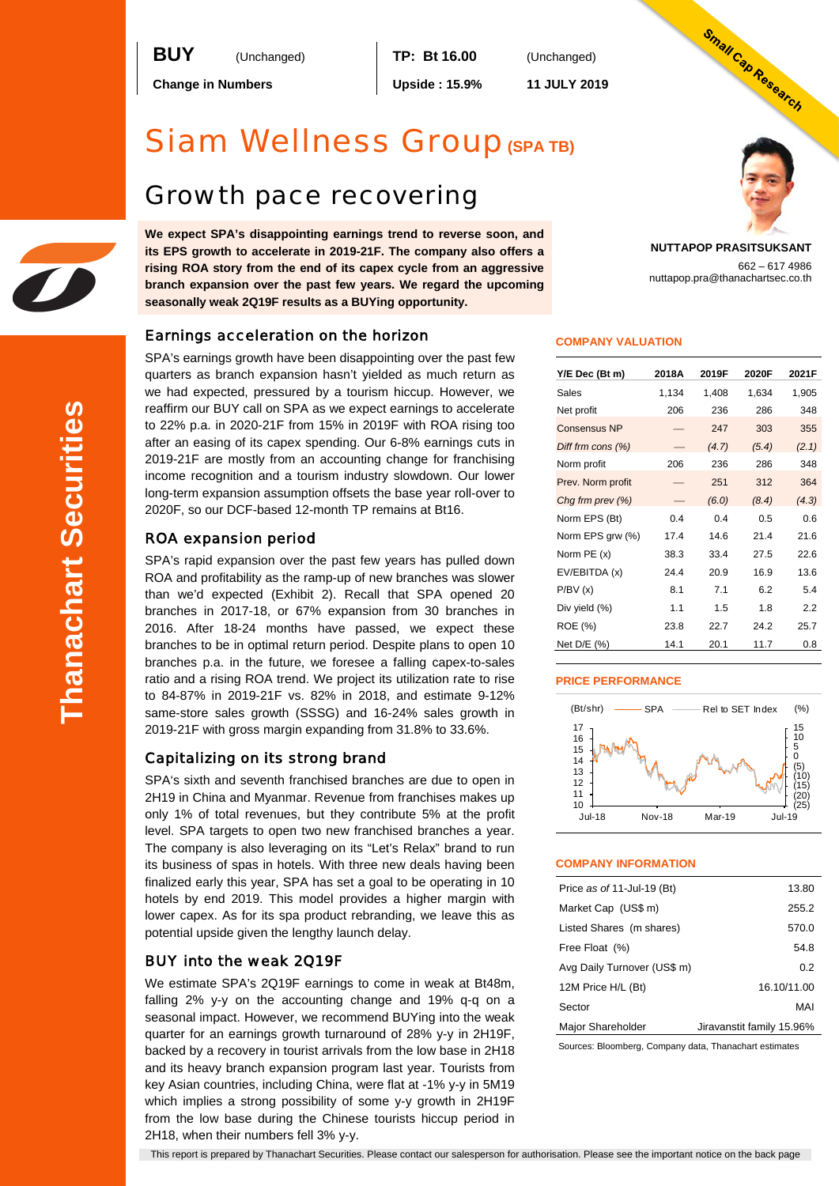**BUY** (Unchanged) **TP: Bt 16.00** (Unchanged)

**Change in Numbers Upside : 15.9% 11 JULY 2019**

# Siam Wellness Group**(SPA TB)**

# Growth pace recovering

**We expect SPA's disappointing earnings trend to reverse soon, and its EPS growth to accelerate in 2019-21F. The company also offers a rising ROA story from the end of its capex cycle from an aggressive branch expansion over the past few years. We regard the upcoming seasonally weak 2Q19F results as a BUYing opportunity.** 

# Earnings acceleration on the horizon

SPA's earnings growth have been disappointing over the past few quarters as branch expansion hasn't yielded as much return as we had expected, pressured by a tourism hiccup. However, we reaffirm our BUY call on SPA as we expect earnings to accelerate to 22% p.a. in 2020-21F from 15% in 2019F with ROA rising too after an easing of its capex spending. Our 6-8% earnings cuts in 2019-21F are mostly from an accounting change for franchising income recognition and a tourism industry slowdown. Our lower long-term expansion assumption offsets the base year roll-over to 2020F, so our DCF-based 12-month TP remains at Bt16.

# ROA expansion period

SPA's rapid expansion over the past few years has pulled down ROA and profitability as the ramp-up of new branches was slower than we'd expected (Exhibit 2). Recall that SPA opened 20 branches in 2017-18, or 67% expansion from 30 branches in 2016. After 18-24 months have passed, we expect these branches to be in optimal return period. Despite plans to open 10 branches p.a. in the future, we foresee a falling capex-to-sales ratio and a rising ROA trend. We project its utilization rate to rise to 84-87% in 2019-21F vs. 82% in 2018, and estimate 9-12% same-store sales growth (SSSG) and 16-24% sales growth in 2019-21F with gross margin expanding from 31.8% to 33.6%.

# Capitalizing on its strong brand

SPA's sixth and seventh franchised branches are due to open in 2H19 in China and Myanmar. Revenue from franchises makes up only 1% of total revenues, but they contribute 5% at the profit level. SPA targets to open two new franchised branches a year. The company is also leveraging on its "Let's Relax" brand to run its business of spas in hotels. With three new deals having been finalized early this year, SPA has set a goal to be operating in 10 hotels by end 2019. This model provides a higher margin with lower capex. As for its spa product rebranding, we leave this as potential upside given the lengthy launch delay.

# BUY into the weak 2Q19F

We estimate SPA's 2Q19F earnings to come in weak at Bt48m, falling 2% y-y on the accounting change and 19% q-q on a seasonal impact. However, we recommend BUYing into the weak quarter for an earnings growth turnaround of 28% y-y in 2H19F, backed by a recovery in tourist arrivals from the low base in 2H18 and its heavy branch expansion program last year. Tourists from key Asian countries, including China, were flat at -1% y-y in 5M19 which implies a strong possibility of some y-y growth in 2H19F from the low base during the Chinese tourists hiccup period in 2H18, when their numbers fell 3% y-y.

Small Cap Research **NUTTAPOP PRASITSUKSANT**

662 – 617 4986

nuttapop.pra@thanachartsec.co.th

### **COMPANY VALUATION**

| Y/E Dec (Bt m)       | 2018A | 2019F | 2020F | 2021F |
|----------------------|-------|-------|-------|-------|
| Sales                | 1,134 | 1,408 | 1,634 | 1,905 |
| Net profit           | 206   | 236   | 286   | 348   |
| <b>Consensus NP</b>  |       | 247   | 303   | 355   |
| Diff frm cons $(\%)$ |       | (4.7) | (5.4) | (2.1) |
| Norm profit          | 206   | 236   | 286   | 348   |
| Prev. Norm profit    |       | 251   | 312   | 364   |
| Chg frm prev (%)     |       | (6.0) | (8.4) | (4.3) |
| Norm EPS (Bt)        | 0.4   | 0.4   | 0.5   | 0.6   |
| Norm EPS grw (%)     | 17.4  | 14.6  | 21.4  | 21.6  |
| Norm PE (x)          | 38.3  | 33.4  | 27.5  | 22.6  |
| EV/EBITDA (x)        | 24.4  | 20.9  | 16.9  | 13.6  |
| P/BV(x)              | 8.1   | 7.1   | 6.2   | 5.4   |
| Div yield (%)        | 1.1   | 1.5   | 1.8   | 2.2   |
| ROE (%)              | 23.8  | 22.7  | 24.2  | 25.7  |
| Net D/E (%)          | 14.1  | 20.1  | 11.7  | 0.8   |

### **PRICE PERFORMANCE**



### **COMPANY INFORMATION**

| Price as of 11-Jul-19 (Bt)  | 13.80                     |
|-----------------------------|---------------------------|
| Market Cap (US\$ m)         | 255.2                     |
| Listed Shares (m shares)    | 570.0                     |
| Free Float (%)              | 54.8                      |
| Avg Daily Turnover (US\$ m) | 0.2                       |
| 12M Price H/L (Bt)          | 16.10/11.00               |
| Sector                      | MAI                       |
| Major Shareholder           | Jiravanstit family 15.96% |

Sources: Bloomberg, Company data, Thanachart estimates

This report is prepared by Thanachart Securities. Please contact our salesperson for authorisation. Please see the important notice on the back page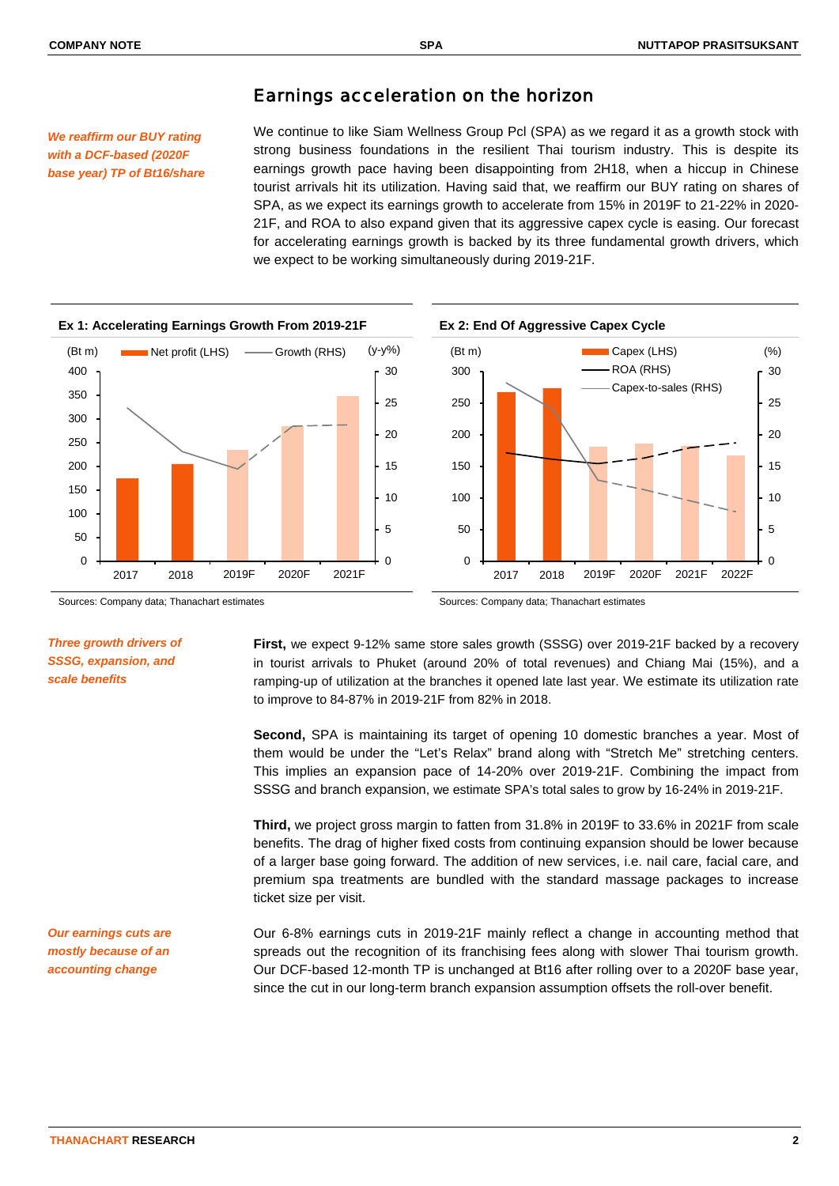# Earnings acceleration on the horizon

*We reaffirm our BUY rating with a DCF-based (2020F base year) TP of Bt16/share* We continue to like Siam Wellness Group Pcl (SPA) as we regard it as a growth stock with strong business foundations in the resilient Thai tourism industry. This is despite its earnings growth pace having been disappointing from 2H18, when a hiccup in Chinese tourist arrivals hit its utilization. Having said that, we reaffirm our BUY rating on shares of SPA, as we expect its earnings growth to accelerate from 15% in 2019F to 21-22% in 2020- 21F, and ROA to also expand given that its aggressive capex cycle is easing. Our forecast for accelerating earnings growth is backed by its three fundamental growth drivers, which we expect to be working simultaneously during 2019-21F.



Sources: Company data; Thanachart estimates Sources: Company data; Thanachart estimates

# *Three growth drivers of SSSG, expansion, and scale benefits*

**First,** we expect 9-12% same store sales growth (SSSG) over 2019-21F backed by a recovery in tourist arrivals to Phuket (around 20% of total revenues) and Chiang Mai (15%), and a ramping-up of utilization at the branches it opened late last year. We estimate its utilization rate to improve to 84-87% in 2019-21F from 82% in 2018.

**Second,** SPA is maintaining its target of opening 10 domestic branches a year. Most of them would be under the "Let's Relax" brand along with "Stretch Me" stretching centers. This implies an expansion pace of 14-20% over 2019-21F. Combining the impact from SSSG and branch expansion, we estimate SPA's total sales to grow by 16-24% in 2019-21F.

**Third,** we project gross margin to fatten from 31.8% in 2019F to 33.6% in 2021F from scale benefits. The drag of higher fixed costs from continuing expansion should be lower because of a larger base going forward. The addition of new services, i.e. nail care, facial care, and premium spa treatments are bundled with the standard massage packages to increase ticket size per visit.

Our 6-8% earnings cuts in 2019-21F mainly reflect a change in accounting method that spreads out the recognition of its franchising fees along with slower Thai tourism growth. Our DCF-based 12-month TP is unchanged at Bt16 after rolling over to a 2020F base year, since the cut in our long-term branch expansion assumption offsets the roll-over benefit.

*Our earnings cuts are mostly because of an accounting change*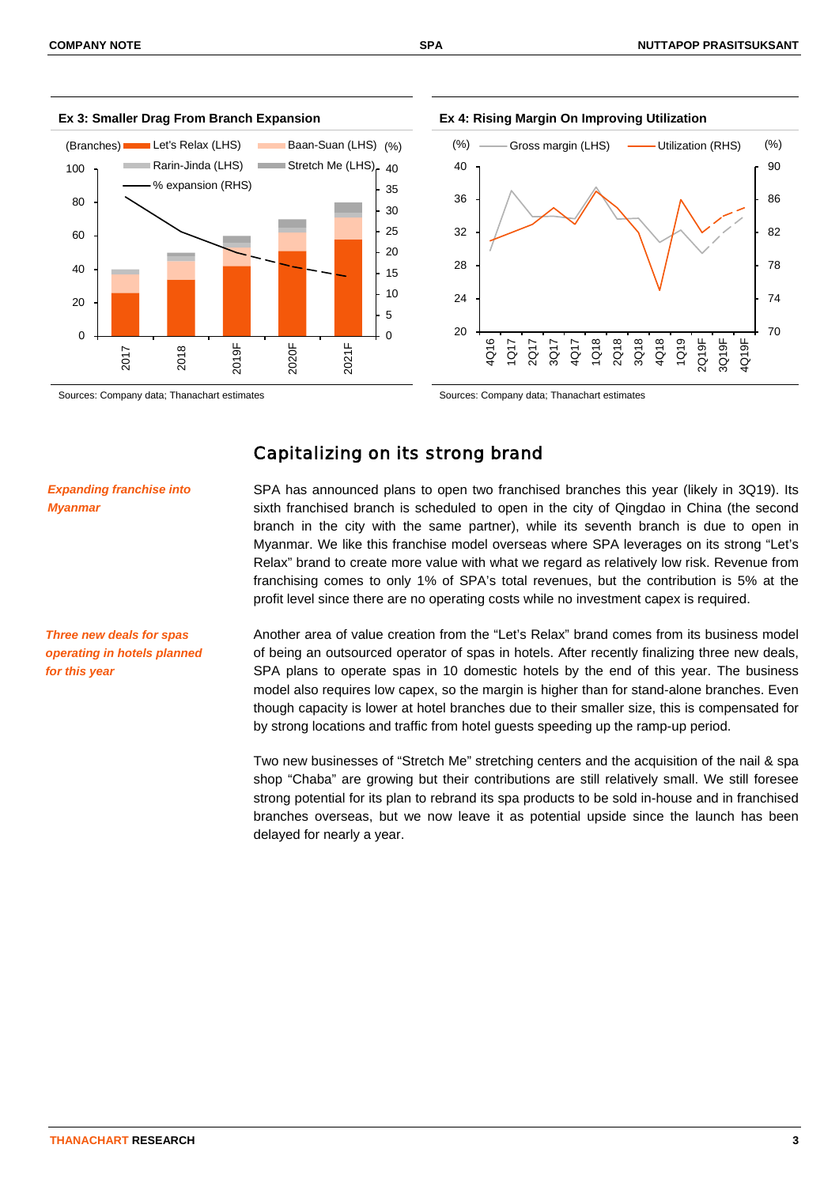





# Capitalizing on its strong brand

*Expanding franchise into Myanmar*

*Three new deals for spas operating in hotels planned for this year*

SPA has announced plans to open two franchised branches this year (likely in 3Q19). Its sixth franchised branch is scheduled to open in the city of Qingdao in China (the second branch in the city with the same partner), while its seventh branch is due to open in Myanmar. We like this franchise model overseas where SPA leverages on its strong "Let's Relax" brand to create more value with what we regard as relatively low risk. Revenue from franchising comes to only 1% of SPA's total revenues, but the contribution is 5% at the profit level since there are no operating costs while no investment capex is required.

Another area of value creation from the "Let's Relax" brand comes from its business model of being an outsourced operator of spas in hotels. After recently finalizing three new deals, SPA plans to operate spas in 10 domestic hotels by the end of this year. The business model also requires low capex, so the margin is higher than for stand-alone branches. Even though capacity is lower at hotel branches due to their smaller size, this is compensated for by strong locations and traffic from hotel guests speeding up the ramp-up period.

Two new businesses of "Stretch Me" stretching centers and the acquisition of the nail & spa shop "Chaba" are growing but their contributions are still relatively small. We still foresee strong potential for its plan to rebrand its spa products to be sold in-house and in franchised branches overseas, but we now leave it as potential upside since the launch has been delayed for nearly a year.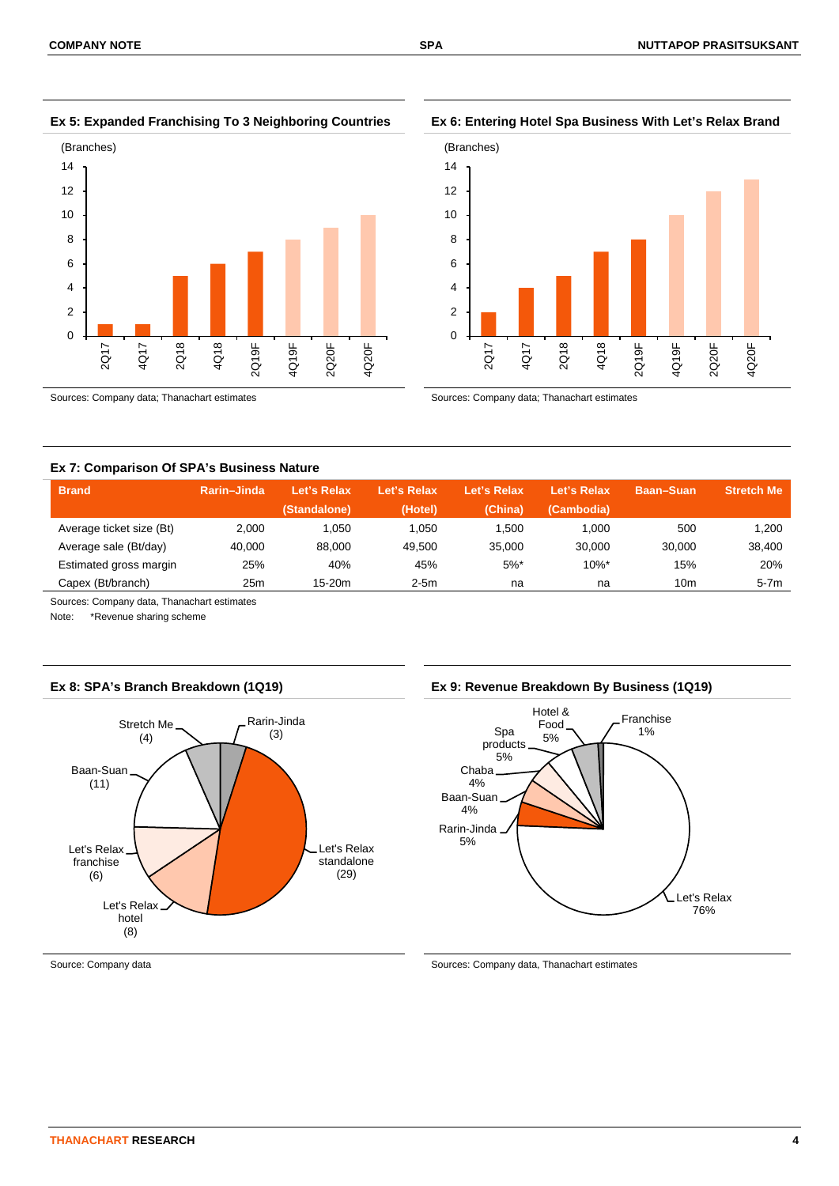**Ex 5: Expanded Franchising To 3 Neighboring Countries Ex 6: Entering Hotel Spa Business With Let's Relax Brand**



Sources: Company data; Thanachart estimates Sources: Company data; Thanachart estimates



### **Ex 7: Comparison Of SPA's Business Nature**

| <b>Brand</b>             | Rarin-Jinda | Let's Relax  | Let's Relax | Let's Relax | Let's Relax | <b>Baan-Suan</b> | <b>Stretch Me</b> |
|--------------------------|-------------|--------------|-------------|-------------|-------------|------------------|-------------------|
|                          |             | (Standalone) | (Hotel)     | (China)     | (Cambodia)  |                  |                   |
| Average ticket size (Bt) | 2.000       | 1.050        | 1.050       | 500. ا      | 1.000       | 500              | 1.200             |
| Average sale (Bt/day)    | 40.000      | 88.000       | 49.500      | 35,000      | 30.000      | 30.000           | 38.400            |
| Estimated gross margin   | 25%         | 40%          | 45%         | $5%$ *      | $10\%$ *    | 15%              | 20%               |
| Capex (Bt/branch)        | 25m         | $15-20m$     | $2-5m$      | na          | na          | 10m              | $5-7m$            |

Sources: Company data, Thanachart estimates

Note: \*Revenue sharing scheme



### **Ex 8: SPA's Branch Breakdown (1Q19) Ex 9: Revenue Breakdown By Business (1Q19)**



Source: Company data Sources: Company data Sources: Company data, Thanachart estimates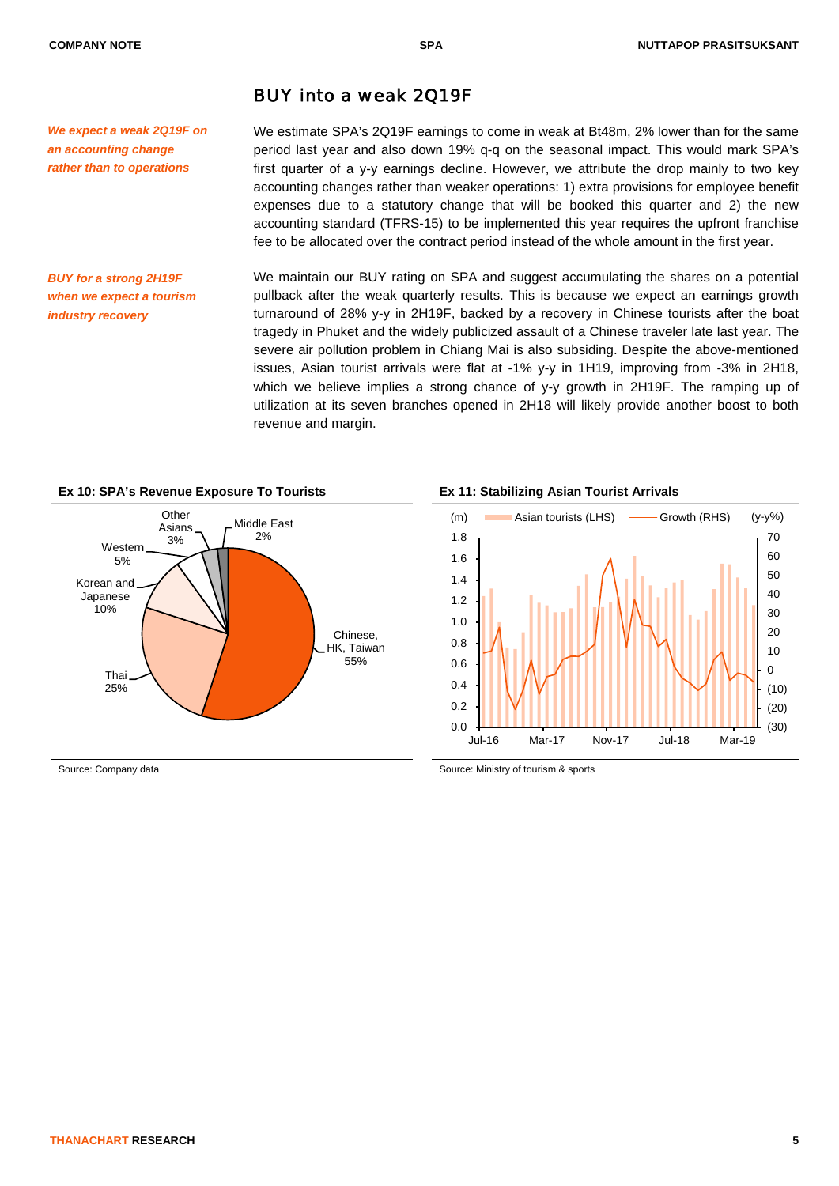# BUY into a weak 2Q19F

*We expect a weak 2Q19F on an accounting change rather than to operations*

We estimate SPA's 2Q19F earnings to come in weak at Bt48m, 2% lower than for the same period last year and also down 19% q-q on the seasonal impact. This would mark SPA's first quarter of a y-y earnings decline. However, we attribute the drop mainly to two key accounting changes rather than weaker operations: 1) extra provisions for employee benefit expenses due to a statutory change that will be booked this quarter and 2) the new accounting standard (TFRS-15) to be implemented this year requires the upfront franchise fee to be allocated over the contract period instead of the whole amount in the first year.

*BUY for a strong 2H19F when we expect a tourism industry recovery*

We maintain our BUY rating on SPA and suggest accumulating the shares on a potential pullback after the weak quarterly results. This is because we expect an earnings growth turnaround of 28% y-y in 2H19F, backed by a recovery in Chinese tourists after the boat tragedy in Phuket and the widely publicized assault of a Chinese traveler late last year. The severe air pollution problem in Chiang Mai is also subsiding. Despite the above-mentioned issues, Asian tourist arrivals were flat at -1% y-y in 1H19, improving from -3% in 2H18, which we believe implies a strong chance of y-y growth in 2H19F. The ramping up of utilization at its seven branches opened in 2H18 will likely provide another boost to both revenue and margin.





Source: Company data Source: Ministry of tourism & sports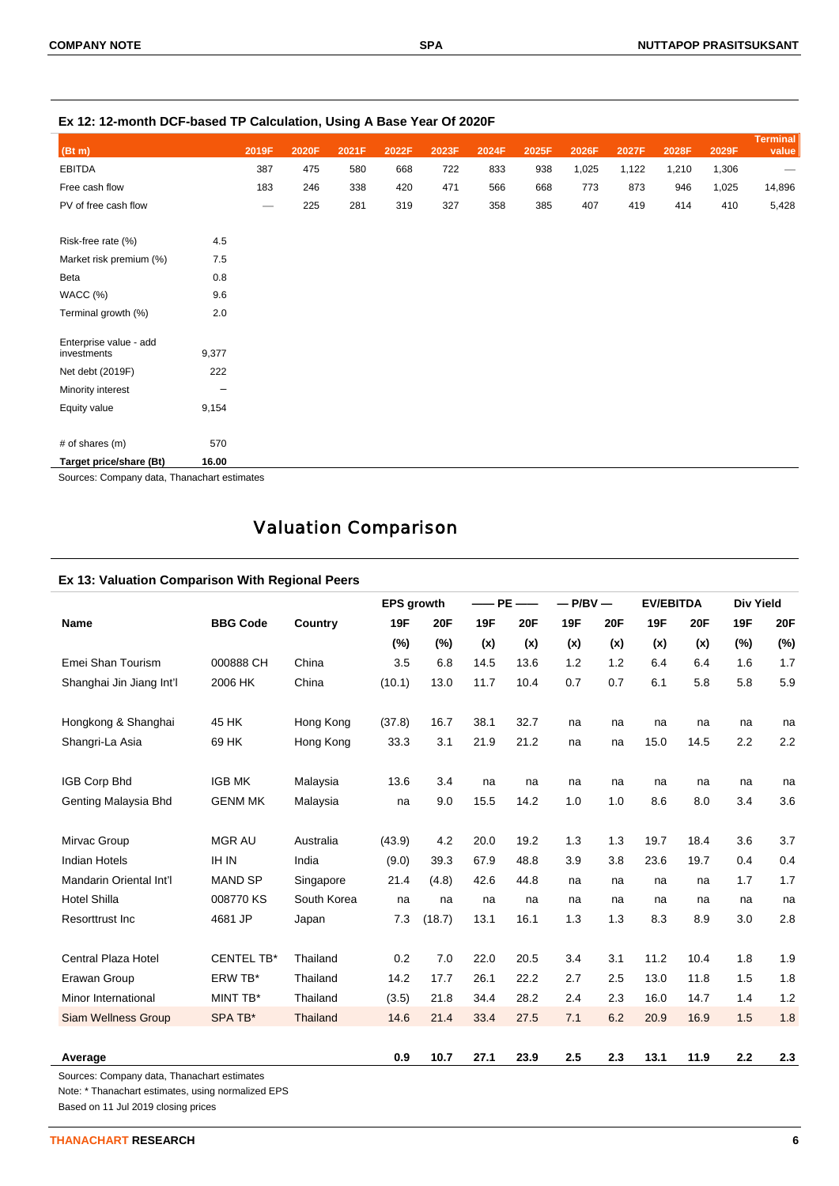|                                       |         |                                | - - - - - - - <b>,</b> - - |       | ----  |       |       |       |       |       |       |       |                          |
|---------------------------------------|---------|--------------------------------|----------------------------|-------|-------|-------|-------|-------|-------|-------|-------|-------|--------------------------|
| (Bt m)                                |         | 2019F                          | 2020F                      | 2021F | 2022F | 2023F | 2024F | 2025F | 2026F | 2027F | 2028F | 2029F | <b>Terminal</b><br>value |
| <b>EBITDA</b>                         |         | 387                            | 475                        | 580   | 668   | 722   | 833   | 938   | 1,025 | 1,122 | 1,210 | 1,306 |                          |
| Free cash flow                        |         | 183                            | 246                        | 338   | 420   | 471   | 566   | 668   | 773   | 873   | 946   | 1,025 | 14,896                   |
| PV of free cash flow                  |         | $\qquad \qquad \longleftarrow$ | 225                        | 281   | 319   | 327   | 358   | 385   | 407   | 419   | 414   | 410   | 5,428                    |
| Risk-free rate (%)                    | 4.5     |                                |                            |       |       |       |       |       |       |       |       |       |                          |
| Market risk premium (%)               | 7.5     |                                |                            |       |       |       |       |       |       |       |       |       |                          |
| Beta                                  | $0.8\,$ |                                |                            |       |       |       |       |       |       |       |       |       |                          |
| WACC (%)                              | 9.6     |                                |                            |       |       |       |       |       |       |       |       |       |                          |
| Terminal growth (%)                   | 2.0     |                                |                            |       |       |       |       |       |       |       |       |       |                          |
| Enterprise value - add<br>investments | 9,377   |                                |                            |       |       |       |       |       |       |       |       |       |                          |
| Net debt (2019F)                      | 222     |                                |                            |       |       |       |       |       |       |       |       |       |                          |
| Minority interest                     | -       |                                |                            |       |       |       |       |       |       |       |       |       |                          |
| Equity value                          | 9,154   |                                |                            |       |       |       |       |       |       |       |       |       |                          |
| # of shares (m)                       | 570     |                                |                            |       |       |       |       |       |       |       |       |       |                          |
| Target price/share (Bt)               | 16.00   |                                |                            |       |       |       |       |       |       |       |       |       |                          |

**Ex 12: 12-month DCF-based TP Calculation, Using A Base Year Of 2020F**

Sources: Company data, Thanachart estimates

# Valuation Comparison

# **Ex 13: Valuation Comparison With Regional Peers**

|                            |                   |             | <b>EPS</b> growth |            |      | $-$ PE $-$ | $-P/BV -$  |            | <b>EV/EBITDA</b> |            | <b>Div Yield</b> |            |
|----------------------------|-------------------|-------------|-------------------|------------|------|------------|------------|------------|------------------|------------|------------------|------------|
| <b>Name</b>                | <b>BBG Code</b>   | Country     | 19F               | <b>20F</b> | 19F  | <b>20F</b> | <b>19F</b> | <b>20F</b> | 19F              | <b>20F</b> | 19F              | <b>20F</b> |
|                            |                   |             | (%)               | (%)        | (x)  | (x)        | (x)        | (x)        | (x)              | (x)        | (%)              | (%)        |
| Emei Shan Tourism          | 000888 CH         | China       | 3.5               | 6.8        | 14.5 | 13.6       | 1.2        | 1.2        | 6.4              | 6.4        | 1.6              | 1.7        |
| Shanghai Jin Jiang Int'l   | 2006 HK           | China       | (10.1)            | 13.0       | 11.7 | 10.4       | 0.7        | 0.7        | 6.1              | 5.8        | 5.8              | 5.9        |
| Hongkong & Shanghai        | 45 HK             | Hong Kong   | (37.8)            | 16.7       | 38.1 | 32.7       | na         | na         | na               | na         | na               | na         |
| Shangri-La Asia            | 69 HK             | Hong Kong   | 33.3              | 3.1        | 21.9 | 21.2       | na         | na         | 15.0             | 14.5       | 2.2              | 2.2        |
| IGB Corp Bhd               | <b>IGB MK</b>     | Malaysia    | 13.6              | 3.4        | na   | na         | na         | na         | na               | na         | na               | na         |
| Genting Malaysia Bhd       | <b>GENM MK</b>    | Malaysia    | na                | 9.0        | 15.5 | 14.2       | 1.0        | 1.0        | 8.6              | 8.0        | 3.4              | 3.6        |
| Mirvac Group               | <b>MGR AU</b>     | Australia   | (43.9)            | 4.2        | 20.0 | 19.2       | 1.3        | 1.3        | 19.7             | 18.4       | 3.6              | 3.7        |
| <b>Indian Hotels</b>       | <b>IH IN</b>      | India       | (9.0)             | 39.3       | 67.9 | 48.8       | 3.9        | 3.8        | 23.6             | 19.7       | 0.4              | 0.4        |
| Mandarin Oriental Int'l    | <b>MAND SP</b>    | Singapore   | 21.4              | (4.8)      | 42.6 | 44.8       | na         | na         | na               | na         | 1.7              | 1.7        |
| <b>Hotel Shilla</b>        | 008770 KS         | South Korea | na                | na         | na   | na         | na         | na         | na               | na         | na               | na         |
| Resorttrust Inc            | 4681 JP           | Japan       | 7.3               | (18.7)     | 13.1 | 16.1       | 1.3        | 1.3        | 8.3              | 8.9        | 3.0              | 2.8        |
| Central Plaza Hotel        | <b>CENTEL TB*</b> | Thailand    | 0.2               | 7.0        | 22.0 | 20.5       | 3.4        | 3.1        | 11.2             | 10.4       | 1.8              | 1.9        |
| Erawan Group               | ERW TB*           | Thailand    | 14.2              | 17.7       | 26.1 | 22.2       | 2.7        | 2.5        | 13.0             | 11.8       | 1.5              | 1.8        |
| Minor International        | MINT TB*          | Thailand    | (3.5)             | 21.8       | 34.4 | 28.2       | 2.4        | 2.3        | 16.0             | 14.7       | 1.4              | 1.2        |
| <b>Siam Wellness Group</b> | SPA TB*           | Thailand    | 14.6              | 21.4       | 33.4 | 27.5       | 7.1        | 6.2        | 20.9             | 16.9       | 1.5              | 1.8        |
| Average                    |                   |             | 0.9               | 10.7       | 27.1 | 23.9       | 2.5        | 2.3        | 13.1             | 11.9       | 2.2              | 2.3        |

Sources: Company data, Thanachart estimates

Note: \* Thanachart estimates, using normalized EPS

Based on 11 Jul 2019 closing prices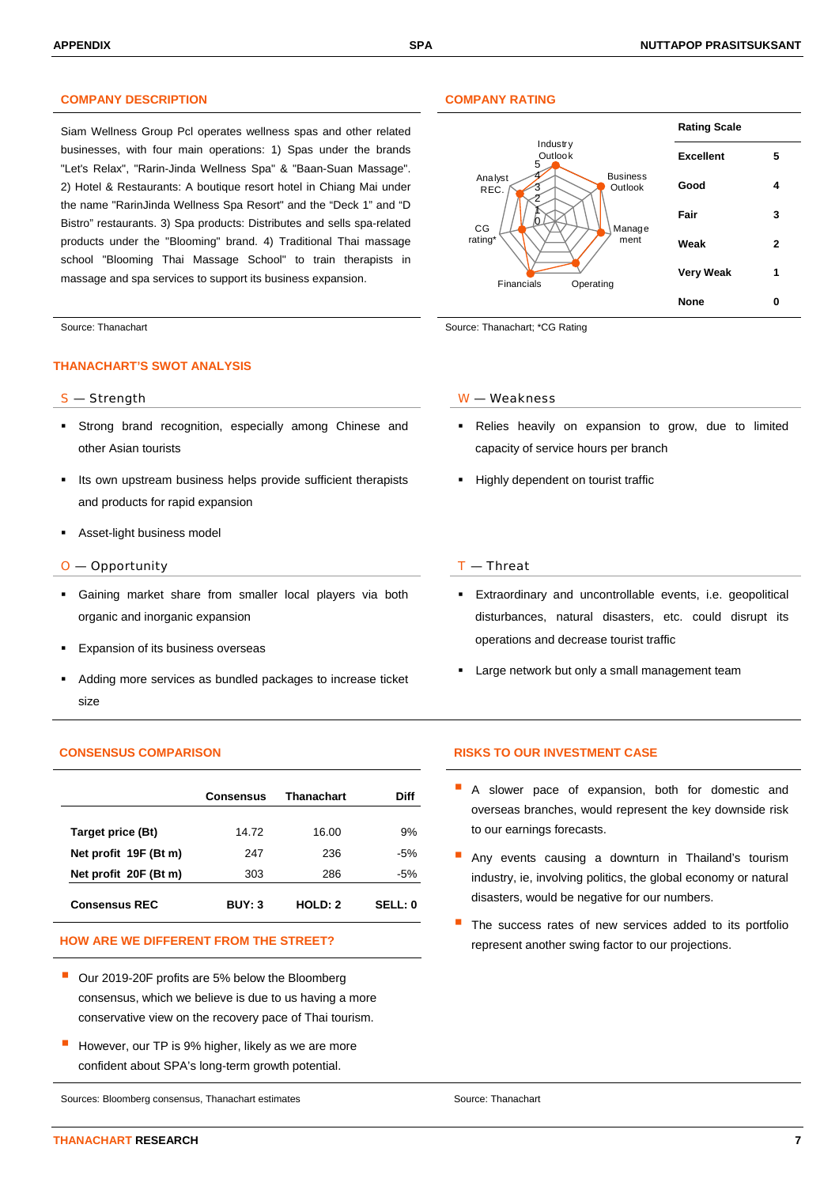# **COMPANY DESCRIPTION COMPANY RATING**

Siam Wellness Group Pcl operates wellness spas and other related businesses, with four main operations: 1) Spas under the brands "Let's Relax", "Rarin-Jinda Wellness Spa" & "Baan-Suan Massage". 2) Hotel & Restaurants: A boutique resort hotel in Chiang Mai under the name "RarinJinda Wellness Spa Resort" and the "Deck 1" and "D Bistro" restaurants. 3) Spa products: Distributes and sells spa-related products under the "Blooming" brand. 4) Traditional Thai massage school "Blooming Thai Massage School" to train therapists in massage and spa services to support its business expansion.

### **THANACHART'S SWOT ANALYSIS**

- Strong brand recognition, especially among Chinese and other Asian tourists
- Its own upstream business helps provide sufficient therapists and products for rapid expansion
- Asset-light business model

### $O$  — Opportunity  $I$  — Threat

- Gaining market share from smaller local players via both organic and inorganic expansion
- Expansion of its business overseas
- Adding more services as bundled packages to increase ticket size

|                       | Consensus | <b>Thanachart</b> | Diff    |
|-----------------------|-----------|-------------------|---------|
| Target price (Bt)     | 14.72     | 16.00             | 9%      |
| Net profit 19F (Bt m) | 247       | 236               | $-5%$   |
| Net profit 20F (Bt m) | 303       | 286               | -5%     |
| <b>Consensus REC</b>  | BUY: 3    | HOLD: 2           | SELL: 0 |

- Our 2019-20F profits are 5% below the Bloomberg consensus, which we believe is due to us having a more conservative view on the recovery pace of Thai tourism.
- However, our TP is 9% higher, likely as we are more confident about SPA's long-term growth potential.

Sources: Bloomberg consensus, Thanachart estimates Source: Thanachart Source: Thanachart



Source: Thanachart Source: Thanachart Source: Thanachart; \*CG Rating

### S — Strength W — Weakness

- Relies heavily on expansion to grow, due to limited capacity of service hours per branch
- **Highly dependent on tourist traffic**

- Extraordinary and uncontrollable events, i.e. geopolitical disturbances, natural disasters, etc. could disrupt its operations and decrease tourist traffic
- Large network but only a small management team

### **CONSENSUS COMPARISON RISKS TO OUR INVESTMENT CASE**

- A slower pace of expansion, both for domestic and overseas branches, would represent the key downside risk to our earnings forecasts.
- Any events causing a downturn in Thailand's tourism industry, ie, involving politics, the global economy or natural disasters, would be negative for our numbers.
- The success rates of new services added to its portfolio HOW ARE WE DIFFERENT FROM THE STREET? **Example 20 and 19 and 19 and 19 and 19 and 19 and 19 and 19 and 19 and 19 and 19 and 19 and 19 and 19 and 19 and 19 and 19 and 19 and 19 and 19 and 19 and 19 and 19 and 19 and 19 and**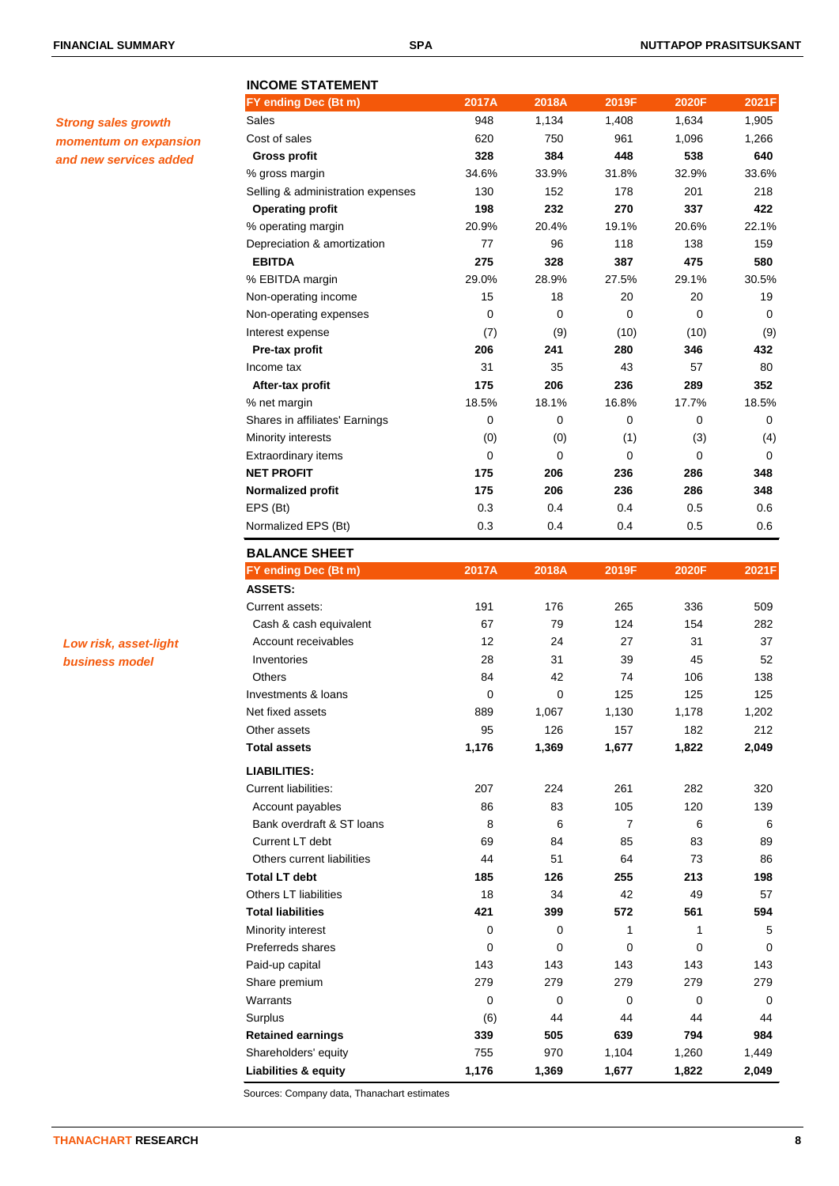# **INCOME STATEMENT**

| <b>Strong sales growth</b> |
|----------------------------|
| momentum on expansion      |
| and new services added     |

| 538<br>32.9%<br>201<br>337<br>20.6%<br>138<br>475<br>29.1%<br>20<br>0<br>(10)<br>346<br>57<br>289<br>17.7%<br>0<br>(3) | 640<br>33.6%<br>218<br>422<br>22.1%<br>159<br>580<br>30.5%<br>19<br>0<br>(9)<br>432<br>80<br>352<br>18.5%<br>0 |
|------------------------------------------------------------------------------------------------------------------------|----------------------------------------------------------------------------------------------------------------|
|                                                                                                                        |                                                                                                                |
|                                                                                                                        |                                                                                                                |
|                                                                                                                        |                                                                                                                |
|                                                                                                                        |                                                                                                                |
|                                                                                                                        |                                                                                                                |
|                                                                                                                        |                                                                                                                |
|                                                                                                                        |                                                                                                                |
|                                                                                                                        |                                                                                                                |
|                                                                                                                        |                                                                                                                |
|                                                                                                                        |                                                                                                                |
|                                                                                                                        |                                                                                                                |
|                                                                                                                        |                                                                                                                |
|                                                                                                                        |                                                                                                                |
|                                                                                                                        |                                                                                                                |
|                                                                                                                        |                                                                                                                |
|                                                                                                                        |                                                                                                                |
|                                                                                                                        | (4)                                                                                                            |
| 0                                                                                                                      | 0                                                                                                              |
| 286                                                                                                                    | 348                                                                                                            |
| 286                                                                                                                    | 348                                                                                                            |
| 0.5                                                                                                                    | 0.6                                                                                                            |
| 0.5                                                                                                                    | 0.6                                                                                                            |
|                                                                                                                        |                                                                                                                |
| 2020F                                                                                                                  | 2021F                                                                                                          |
|                                                                                                                        |                                                                                                                |
| 336                                                                                                                    | 509                                                                                                            |
| 154                                                                                                                    | 282                                                                                                            |
| 31                                                                                                                     | 37                                                                                                             |
| 45                                                                                                                     | 52                                                                                                             |
| 106                                                                                                                    | 138                                                                                                            |
| 125                                                                                                                    | 125                                                                                                            |
|                                                                                                                        | 1,202                                                                                                          |
| 1,178                                                                                                                  |                                                                                                                |
| 182                                                                                                                    | 212                                                                                                            |
| 1,822                                                                                                                  | 2,049                                                                                                          |
|                                                                                                                        |                                                                                                                |
| 282                                                                                                                    | 320                                                                                                            |
| 120                                                                                                                    | 139                                                                                                            |
| 6                                                                                                                      | 6                                                                                                              |
| 83                                                                                                                     | 89                                                                                                             |
| 73                                                                                                                     | 86                                                                                                             |
| 213                                                                                                                    | 198                                                                                                            |
| 49                                                                                                                     | 57                                                                                                             |
| 561                                                                                                                    | 594                                                                                                            |
| 1                                                                                                                      | 5                                                                                                              |
| 0                                                                                                                      | 0                                                                                                              |
| 143                                                                                                                    | 143                                                                                                            |
| 279                                                                                                                    | 279                                                                                                            |
|                                                                                                                        |                                                                                                                |

Surplus (6) 44 44 44 44 **Retained earnings 339 505 639 794 984** Shareholders' equity **755** 970 1,104 1,260 1,449 **Liabilities & equity 1,176 1,369 1,677 1,822 2,049**

**FY ending Dec (Bt m) 2017A 2018A 2019F 2020F 2021F** Sales 948 1,134 1,408 1,634 1,905

*Low risk, asset-light business model*

Sources: Company data, Thanachart estimates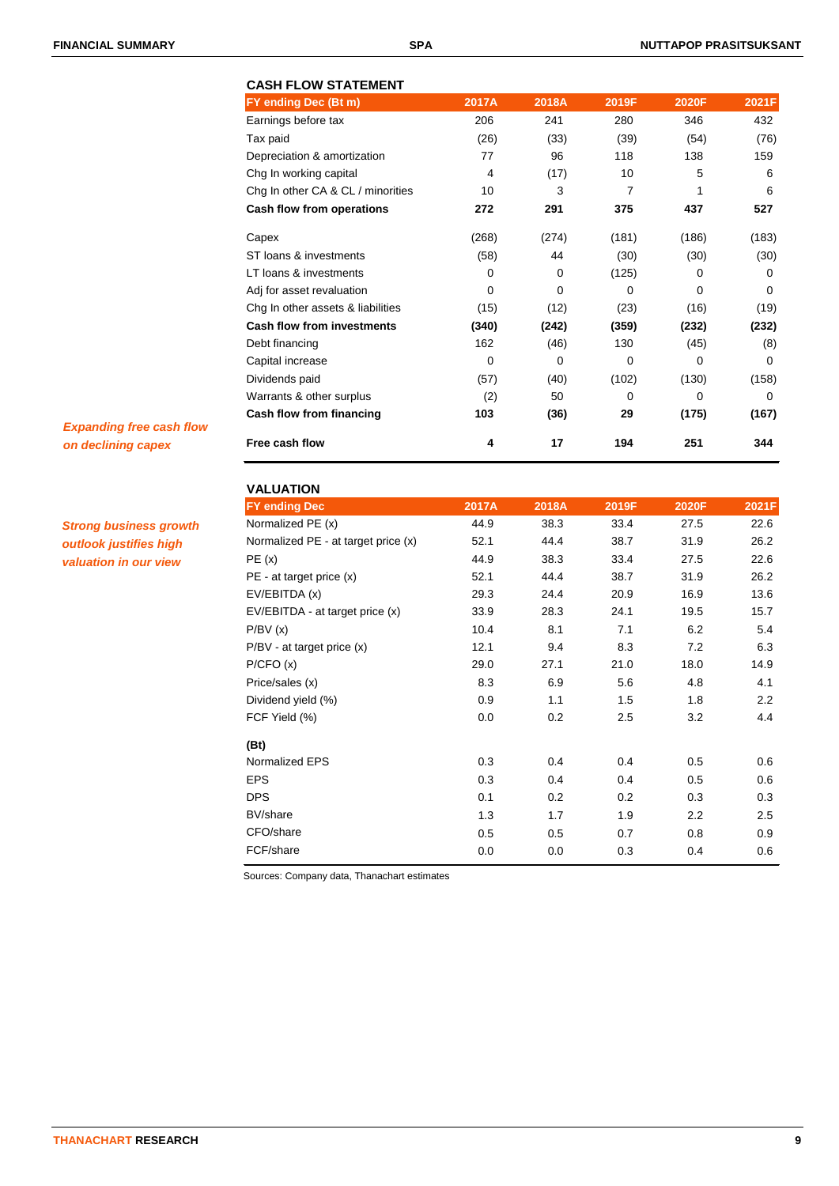# **CASH FLOW STATEMENT FY ending Dec (Bt m) 2017A 2018A 2019F 2020F 2021F** Earnings before tax 206 241 280 346 432 Tax paid (26) (33) (39) (54) (76) Depreciation & amortization <br>
77 96 118 138 159 Chg In working capital  $\begin{array}{cccc} 4 & (17) & 10 & 5 & 6 \end{array}$ Chg In other CA & CL / minorities 10 3 7 1 6 **Cash flow from operations 272 291 375 437 527** Capex (268) (274) (181) (186) (183) ST loans & investments (58) 44 (30) (30) (30) (30) LT loans & investments and the control of the control of the control of the control of the control of the control of the control of the control of the control of the control of the control of the control of the control of Adj for asset revaluation 0 0 0 0 0 Chg In other assets & liabilities  $(15)$   $(12)$   $(23)$   $(16)$   $(19)$ **Cash flow from investments (340) (242) (359) (232) (232)** Debt financing 162 (46) 130 (45) (8) Capital increase 0 0 0 0 0 Dividends paid (57) (40) (102) (130) (158) Warrants & other surplus (2) 50 0 0 0 0 **Cash flow from financing 103 (36) 29 (175) (167) Free cash flow 4 17 194 251 344**

*Expanding free cash flow on declining capex*

*Strong business growth outlook justifies high valuation in our view*

| <b>VALUATION</b>                    |       |       |       |       |                  |
|-------------------------------------|-------|-------|-------|-------|------------------|
| <b>FY ending Dec</b>                | 2017A | 2018A | 2019F | 2020F | 2021F            |
| Normalized PE (x)                   | 44.9  | 38.3  | 33.4  | 27.5  | 22.6             |
| Normalized PE - at target price (x) | 52.1  | 44.4  | 38.7  | 31.9  | 26.2             |
| PE(x)                               | 44.9  | 38.3  | 33.4  | 27.5  | 22.6             |
| $PE - at target price (x)$          | 52.1  | 44.4  | 38.7  | 31.9  | 26.2             |
| EV/EBITDA (x)                       | 29.3  | 24.4  | 20.9  | 16.9  | 13.6             |
| EV/EBITDA - at target price (x)     | 33.9  | 28.3  | 24.1  | 19.5  | 15.7             |
| P/BV(x)                             | 10.4  | 8.1   | 7.1   | 6.2   | 5.4              |
| P/BV - at target price (x)          | 12.1  | 9.4   | 8.3   | 7.2   | 6.3              |
| P/CFO(x)                            | 29.0  | 27.1  | 21.0  | 18.0  | 14.9             |
| Price/sales (x)                     | 8.3   | 6.9   | 5.6   | 4.8   | 4.1              |
| Dividend yield (%)                  | 0.9   | 1.1   | 1.5   | 1.8   | $2.2\phantom{0}$ |
| FCF Yield (%)                       | 0.0   | 0.2   | 2.5   | 3.2   | 4.4              |
| (Bt)                                |       |       |       |       |                  |
| Normalized EPS                      | 0.3   | 0.4   | 0.4   | 0.5   | 0.6              |
| <b>EPS</b>                          | 0.3   | 0.4   | 0.4   | 0.5   | 0.6              |
| <b>DPS</b>                          | 0.1   | 0.2   | 0.2   | 0.3   | 0.3              |
| BV/share                            | 1.3   | 1.7   | 1.9   | 2.2   | 2.5              |
| CFO/share                           | 0.5   | 0.5   | 0.7   | 0.8   | 0.9              |
| FCF/share                           | 0.0   | 0.0   | 0.3   | 0.4   | 0.6              |
|                                     |       |       |       |       |                  |

Sources: Company data, Thanachart estimates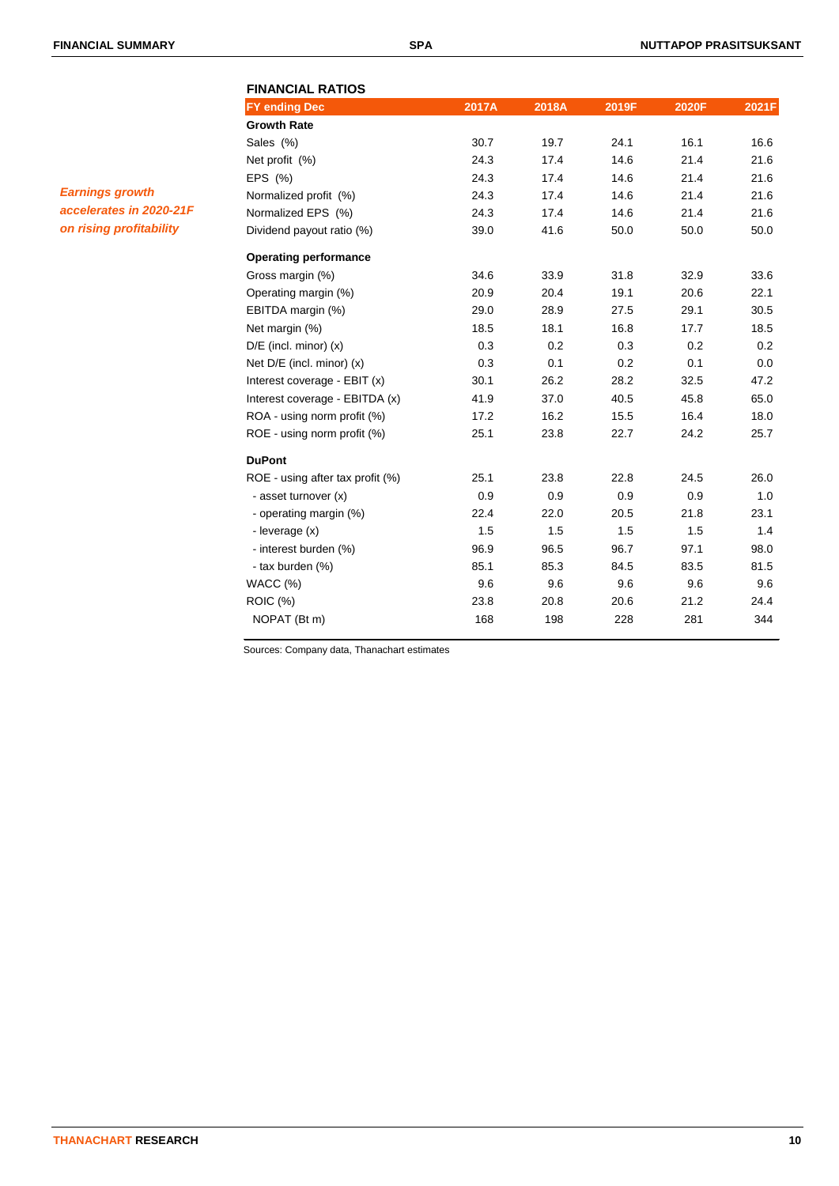# **FINANCIAL RATIOS FY ending Dec 2017A 2018A 2019F 2020F 2021F Growth Rate** Sales (%) 30.7 19.7 24.1 16.1 16.6 Net profit (%) 24.3 17.4 14.6 21.4 21.6 EPS (%) 24.3 17.4 14.6 21.4 21.6 Normalized profit (%) 24.3 17.4 14.6 21.4 21.6 Normalized EPS (%) 24.3 17.4 14.6 21.4 21.6 Dividend payout ratio (%) 39.0 41.6 50.0 50.0 50.0 **Operating performance** Gross margin (%) 34.6 33.9 31.8 32.9 33.6 Operating margin (%) 20.9 20.4 19.1 20.6 22.1 EBITDA margin (%) 29.0 28.9 27.5 29.1 30.5 Net margin (%) 18.5 18.1 16.8 17.7 18.5 D/E (incl. minor) (x) 0.3 0.2 0.3 0.2 0.2 0.2 Net D/E (incl. minor) (x) 0.3 0.1 0.2 0.1 0.0 Interest coverage - EBIT (x) 30.1 26.2 28.2 32.5 47.2 Interest coverage - EBITDA (x) 41.9 37.0 40.5 45.8 65.0 ROA - using norm profit (%) 17.2 16.2 15.5 16.4 18.0 ROE - using norm profit (%) 25.1 23.8 22.7 24.2 25.7 **DuPont** ROE - using after tax profit (%) 25.1 23.8 22.8 24.5 26.0 - asset turnover (x) 0.9 0.9 0.9 0.9 0.9 1.0 - operating margin (%) 22.4 22.0 20.5 21.8 23.1 - leverage (x) 1.5 1.5 1.5 1.5 1.4 - interest burden (%) 96.9 96.5 96.7 97.1 98.0 - tax burden (%) 85.1 85.3 84.5 83.5 81.5 WACC (%) 9.6 9.6 9.6 9.6 9.6 ROIC (%) 23.8 20.8 20.6 21.2 24.4 NOPAT (Bt m) 168 198 228 281 344

Sources: Company data, Thanachart estimates

*Earnings growth accelerates in 2020-21F on rising profitability*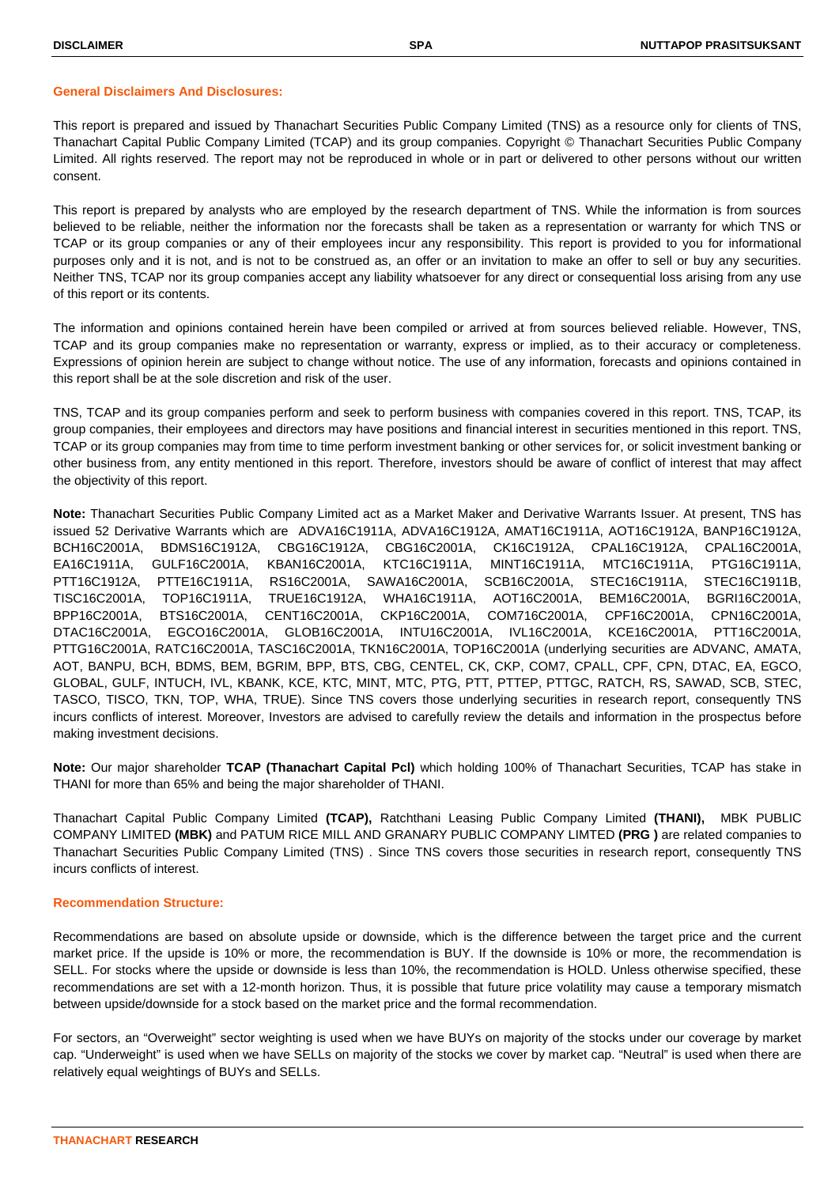### **General Disclaimers And Disclosures:**

This report is prepared and issued by Thanachart Securities Public Company Limited (TNS) as a resource only for clients of TNS, Thanachart Capital Public Company Limited (TCAP) and its group companies. Copyright © Thanachart Securities Public Company Limited. All rights reserved. The report may not be reproduced in whole or in part or delivered to other persons without our written consent.

This report is prepared by analysts who are employed by the research department of TNS. While the information is from sources believed to be reliable, neither the information nor the forecasts shall be taken as a representation or warranty for which TNS or TCAP or its group companies or any of their employees incur any responsibility. This report is provided to you for informational purposes only and it is not, and is not to be construed as, an offer or an invitation to make an offer to sell or buy any securities. Neither TNS, TCAP nor its group companies accept any liability whatsoever for any direct or consequential loss arising from any use of this report or its contents.

The information and opinions contained herein have been compiled or arrived at from sources believed reliable. However, TNS, TCAP and its group companies make no representation or warranty, express or implied, as to their accuracy or completeness. Expressions of opinion herein are subject to change without notice. The use of any information, forecasts and opinions contained in this report shall be at the sole discretion and risk of the user.

TNS, TCAP and its group companies perform and seek to perform business with companies covered in this report. TNS, TCAP, its group companies, their employees and directors may have positions and financial interest in securities mentioned in this report. TNS, TCAP or its group companies may from time to time perform investment banking or other services for, or solicit investment banking or other business from, any entity mentioned in this report. Therefore, investors should be aware of conflict of interest that may affect the objectivity of this report.

**Note:** Thanachart Securities Public Company Limited act as a Market Maker and Derivative Warrants Issuer. At present, TNS has issued 52 Derivative Warrants which are ADVA16C1911A, ADVA16C1912A, AMAT16C1911A, AOT16C1912A, BANP16C1912A, BCH16C2001A, BDMS16C1912A, CBG16C1912A, CBG16C2001A, CK16C1912A, CPAL16C1912A, CPAL16C2001A, EA16C1911A, GULF16C2001A, KBAN16C2001A, KTC16C1911A, MINT16C1911A, MTC16C1911A, PTG16C1911A, PTT16C1912A, PTTE16C1911A, RS16C2001A, SAWA16C2001A, SCB16C2001A, STEC16C1911A, STEC16C1911B, TISC16C2001A, TOP16C1911A, TRUE16C1912A, WHA16C1911A, AOT16C2001A, BEM16C2001A, BGRI16C2001A, BPP16C2001A, BTS16C2001A, CENT16C2001A, CKP16C2001A, COM716C2001A, CPF16C2001A, CPN16C2001A, DTAC16C2001A, EGCO16C2001A, GLOB16C2001A, INTU16C2001A, IVL16C2001A, KCE16C2001A, PTT16C2001A, PTTG16C2001A, RATC16C2001A, TASC16C2001A, TKN16C2001A, TOP16C2001A (underlying securities are ADVANC, AMATA, AOT, BANPU, BCH, BDMS, BEM, BGRIM, BPP, BTS, CBG, CENTEL, CK, CKP, COM7, CPALL, CPF, CPN, DTAC, EA, EGCO, GLOBAL, GULF, INTUCH, IVL, KBANK, KCE, KTC, MINT, MTC, PTG, PTT, PTTEP, PTTGC, RATCH, RS, SAWAD, SCB, STEC, TASCO, TISCO, TKN, TOP, WHA, TRUE). Since TNS covers those underlying securities in research report, consequently TNS incurs conflicts of interest. Moreover, Investors are advised to carefully review the details and information in the prospectus before making investment decisions.

**Note:** Our major shareholder **TCAP (Thanachart Capital Pcl)** which holding 100% of Thanachart Securities, TCAP has stake in THANI for more than 65% and being the major shareholder of THANI.

Thanachart Capital Public Company Limited **(TCAP),** Ratchthani Leasing Public Company Limited **(THANI),** MBK PUBLIC COMPANY LIMITED **(MBK)** and PATUM RICE MILL AND GRANARY PUBLIC COMPANY LIMTED **(PRG )** are related companies to Thanachart Securities Public Company Limited (TNS) . Since TNS covers those securities in research report, consequently TNS incurs conflicts of interest.

# **Recommendation Structure:**

Recommendations are based on absolute upside or downside, which is the difference between the target price and the current market price. If the upside is 10% or more, the recommendation is BUY. If the downside is 10% or more, the recommendation is SELL. For stocks where the upside or downside is less than 10%, the recommendation is HOLD. Unless otherwise specified, these recommendations are set with a 12-month horizon. Thus, it is possible that future price volatility may cause a temporary mismatch between upside/downside for a stock based on the market price and the formal recommendation.

For sectors, an "Overweight" sector weighting is used when we have BUYs on majority of the stocks under our coverage by market cap. "Underweight" is used when we have SELLs on majority of the stocks we cover by market cap. "Neutral" is used when there are relatively equal weightings of BUYs and SELLs.